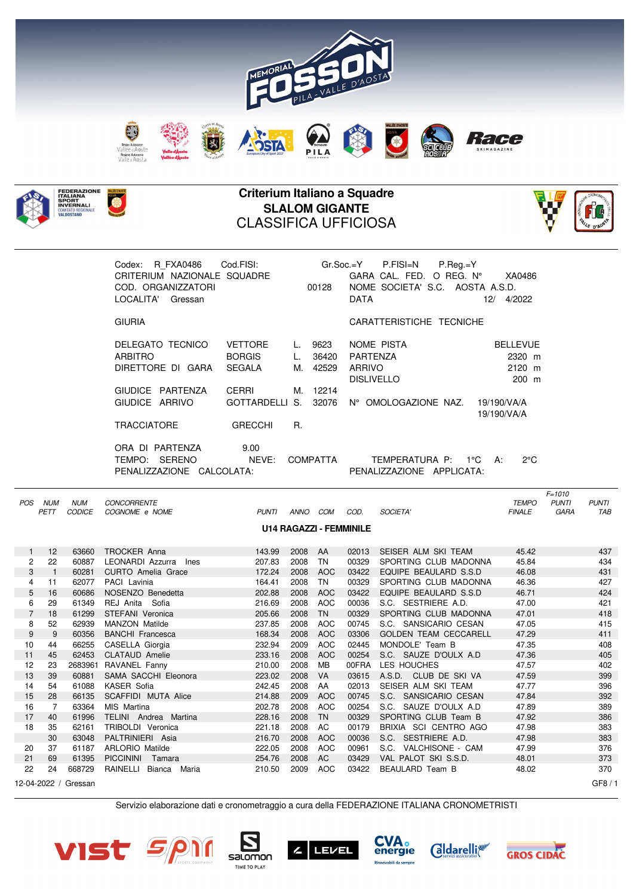



## **Criterium Italiano a Squadre SLALOM GIGANTE** CLASSIFICA UFFICIOSA



| R FXA0486<br>Codex:<br>CRITERIUM NAZIONALE SQUADRE<br>COD. ORGANIZZATORI<br>LOCALITA'<br>Gressan | Cod.FISI:                                        |                | 00128                  | $Gr.Soc.=Y$ P.FISI=N P.Req.=Y<br>GARA CAL. FED. O REG. N°<br>NOME SOCIETA' S.C. AOSTA A.S.D.<br><b>DATA</b> | XA0486<br>12/<br>4/2022                        |
|--------------------------------------------------------------------------------------------------|--------------------------------------------------|----------------|------------------------|-------------------------------------------------------------------------------------------------------------|------------------------------------------------|
| <b>GIURIA</b>                                                                                    |                                                  |                |                        | CARATTERISTICHE TECNICHE                                                                                    |                                                |
| DELEGATO TECNICO<br><b>ARBITRO</b><br>DIRETTORE DI GARA                                          | <b>VETTORE</b><br><b>BORGIS</b><br><b>SEGALA</b> | L.<br>L.<br>M. | 9623<br>36420<br>42529 | NOME PISTA<br><b>PARTENZA</b><br>ARRIVO<br><b>DISLIVELLO</b>                                                | <b>BELLEVUE</b><br>2320 m<br>$2120$ m<br>200 m |
| GIUDICE PARTENZA<br>GIUDICE ARRIVO                                                               | CERRI<br>GOTTARDELLI S.                          |                | M. 12214<br>32076      | N° OMOLOGAZIONE NAZ. 19/190/VA/A                                                                            | 19/190/VA/A                                    |
| <b>TRACCIATORE</b><br>PARTENZA<br>ORA DI                                                         | <b>GRECCHI</b><br>9.00                           | R.             |                        |                                                                                                             |                                                |
| TEMPO:<br><b>SERENO</b><br>PENALIZZAZIONE CALCOLATA:                                             | NEVE:                                            |                | COMPATTA               | TEMPERATURA P: 1°C<br>PENALIZZAZIONE APPLICATA:                                                             | $2^{\circ}$ C<br>A:                            |

 $F=1010$ POS NUM NUM CONCORRENTE TEMPO PUNTI PUNTI PETT CODICE COGNOME e NOME PUNTI ANNO COM COD. SOCIETA' FINALE GARA TAB **U14 RAGAZZI - FEMMINILE** 1 12 63660 TROCKER Anna 143.99 2008 AA 02013 SEISER ALM SKI TEAM 45.42 437 2 22 60887 LEONARDI Azzurra Ines 207.83 2008 TN 00329 SPORTING CLUB MADONNA 45.84 434 3 1 60281 CURTO Amelia Grace 172.24 2008 AOC 03422 EQUIPE BEAULARD S.S.D 46.08 431 4 11 62077 PACI Lavinia 164.41 2008 TN 00329 SPORTING CLUB MADONNA 46.36 427 5 16 60686 NOSENZO Benedetta 202.88 2008 AOC 03422 EQUIPE BEAULARD S.S.D 46.71 424 6 29 61349 REJ Anita Sofia 216.69 2008 AOC 00036 S.C. SESTRIERE A.D. 47.00 421 7 18 61299 STEFANI Veronica 205.66 2008 TN 00329 SPORTING CLUB MADONNA 47.01 418 8 52 62939 MANZON Matilde 237.85 2008 AOC 00745 S.C. SANSICARIO CESAN 47.05 415 9 9 60356 BANCHI Francesca 168.34 2008 AOC 03306 GOLDEN TEAM CECCARELL 47.29 411 10 44 66255 CASELLA Giorgia 232.94 2009 AOC 02445 MONDOLE' Team B 47.35 408 11 45 62453 CLATAUD Amelie 233.16 2008 AOC 00254 S.C. SAUZE D'OULX A.D 47.36 405 12 23 2683961 RAVANEL Fanny 210.00 2008 MB 00FRA LES HOUCHES 47.57 402 13 39 60881 SAMA SACCHI Eleonora 223.02 2008 VA 03615 A.S.D. CLUB DE SKI VA 47.59 399 14 54 61088 KASER Sofia 242.45 2008 AA 02013 SEISER ALM SKI TEAM 47.77 396 15 28 66135 SCAFFIDI MUTA Alice 214.88 2009 AOC 00745 S.C. SANSICARIO CESAN 47.84 392 16 7 63364 MIS Martina 202.78 2008 AOC 00254 S.C. SAUZE D'OULX A.D 47.89 389 17 40 61996 TELINI Andrea Martina 228.16 2008 TN 00329 SPORTING CLUB Team B 47.92 386 18 35 62161 TRIBOLDI Veronica 221.18 2008 AC 00179 BRIXIA SCI CENTRO AGO 47.98 383 30 63048 PALTRINIERI Asia 216.70 2008 AOC 00036 S.C. SESTRIERE A.D. 47.98 383 20 37 61187 ARLORIO Matilde 222.05 2008 AOC 00961 S.C. VALCHISONE - CAM 47.99 376 21 69 61395 PICCININI Tamara 254.76 2008 AC 03429 VAL PALOT SKI S.S.D. 48.01 373 22 24 668729 RAINELLI Bianca Maria 210.50 2009 AOC 03422 BEAULARD Team B 48.02 370 12-04-2022 / Gressan GF8 / 1

Servizio elaborazione dati e cronometraggio a cura della FEDERAZIONE ITALIANA CRONOMETRISTI





TIME TO PLAY







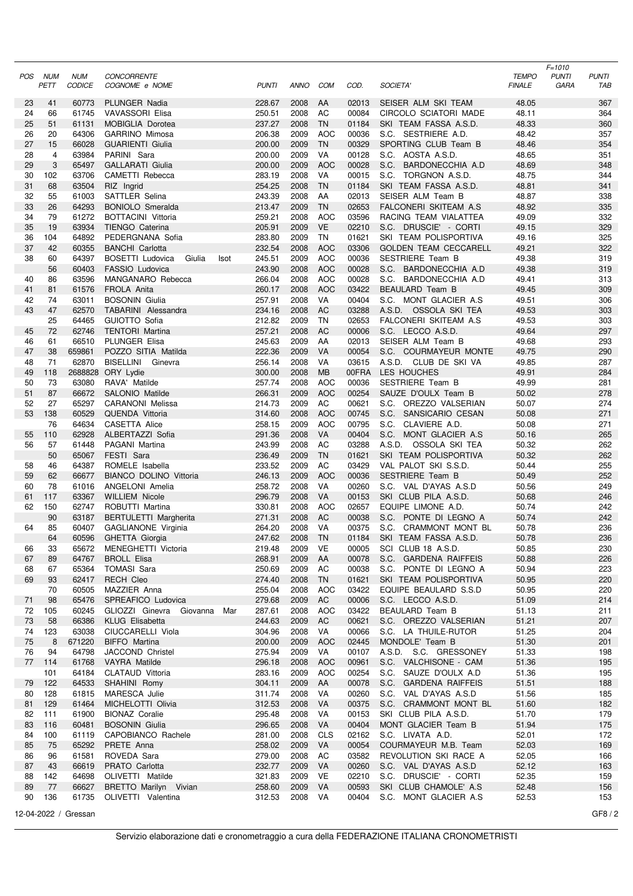| POS      | NUM        | <b>NUM</b>           | <b>CONCORRENTE</b>                                   |                  |              |                          |                |                                                | <b>TEMPO</b>   | $F = 1010$<br><b>PUNTI</b> | <b>PUNTI</b> |
|----------|------------|----------------------|------------------------------------------------------|------------------|--------------|--------------------------|----------------|------------------------------------------------|----------------|----------------------------|--------------|
|          | PETT       | <b>CODICE</b>        | COGNOME e NOME                                       | <b>PUNTI</b>     | <b>ANNO</b>  | COM                      | COD.           | SOCIETA'                                       | <b>FINALE</b>  | GARA                       | TAB          |
| 23       | 41         | 60773                | PLUNGER Nadia                                        | 228.67           | 2008         | AA                       | 02013          | SEISER ALM SKI TEAM                            | 48.05          |                            | 367          |
| 24       | 66         | 61745                | VAVASSORI Elisa                                      | 250.51           | 2008         | AC                       | 00084          | CIRCOLO SCIATORI MADE                          | 48.11          |                            | 364          |
| 25       | 51         | 61131                | <b>MOBIGLIA Dorotea</b>                              | 237.27           | 2008         | <b>TN</b>                | 01184          | SKI TEAM FASSA A.S.D.                          | 48.33          |                            | 360          |
| 26<br>27 | 20<br>15   | 64306<br>66028       | <b>GARRINO Mimosa</b><br><b>GUARIENTI Giulia</b>     | 206.38<br>200.00 | 2009<br>2009 | <b>AOC</b><br><b>TN</b>  | 00036<br>00329 | S.C. SESTRIERE A.D.<br>SPORTING CLUB Team B    | 48.42<br>48.46 |                            | 357<br>354   |
| 28       | 4          | 63984                | PARINI Sara                                          | 200.00           | 2009         | VA                       | 00128          | S.C. AOSTA A.S.D.                              | 48.65          |                            | 351          |
| 29       | 3          | 65497                | <b>GALLARATI Giulia</b>                              | 200.00           | 2009         | <b>AOC</b>               | 00028          | S.C.<br>BARDONECCHIA A.D                       | 48.69          |                            | 348          |
| 30       | 102        | 63706                | CAMETTI Rebecca                                      | 283.19           | 2008         | VA                       | 00015          | S.C. TORGNON A.S.D.                            | 48.75          |                            | 344          |
| 31       | 68         | 63504                | RIZ Ingrid                                           | 254.25           | 2008         | <b>TN</b>                | 01184          | SKI TEAM FASSA A.S.D.                          | 48.81          |                            | 341          |
| 32       | 55         | 61003                | <b>SATTLER Selina</b>                                | 243.39           | 2008         | AA                       | 02013          | SEISER ALM Team B                              | 48.87          |                            | 338          |
| 33<br>34 | 26<br>79   | 64293<br>61272       | <b>BONIOLO Smeralda</b><br><b>BOTTACINI Vittoria</b> | 213.47<br>259.21 | 2009<br>2008 | <b>TN</b><br><b>AOC</b>  | 02653<br>03596 | FALCONERI SKITEAM A.S<br>RACING TEAM VIALATTEA | 48.92<br>49.09 |                            | 335<br>332   |
| 35       | 19         | 63934                | TIENGO Caterina                                      | 205.91           | 2009         | <b>VE</b>                | 02210          | S.C. DRUSCIE' - CORTI                          | 49.15          |                            | 329          |
| 36       | 104        | 64892                | PEDERGNANA Sofia                                     | 283.80           | 2009         | TN                       | 01621          | SKI TEAM POLISPORTIVA                          | 49.16          |                            | 325          |
| 37       | 42         | 60355                | <b>BANCHI</b> Carlotta                               | 232.54           | 2008         | <b>AOC</b>               | 03306          | <b>GOLDEN TEAM CECCARELL</b>                   | 49.21          |                            | 322          |
| 38       | 60         | 64397                | BOSETTI Ludovica<br>Giulia<br>Isot                   | 245.51           | 2009         | <b>AOC</b>               | 00036          | SESTRIERE Team B                               | 49.38          |                            | 319          |
| 40       | 56<br>86   | 60403<br>63596       | FASSIO Ludovica<br>MANGANARO Rebecca                 | 243.90<br>266.04 | 2008<br>2008 | <b>AOC</b><br><b>AOC</b> | 00028<br>00028 | S.C. BARDONECCHIA A.D<br>S.C. BARDONECCHIA A.D | 49.38<br>49.41 |                            | 319<br>313   |
| 41       | 81         | 61576                | FROLA Anita                                          | 260.17           | 2008         | <b>AOC</b>               | 03422          | BEAULARD Team B                                | 49.45          |                            | 309          |
| 42       | 74         | 63011                | <b>BOSONIN</b> Giulia                                | 257.91           | 2008         | VA                       | 00404          | S.C. MONT GLACIER A.S.                         | 49.51          |                            | 306          |
| 43       | 47         | 62570                | <b>TABARINI</b> Alessandra                           | 234.16           | 2008         | <b>AC</b>                | 03288          | A.S.D. OSSOLA SKI TEA                          | 49.53          |                            | 303          |
|          | 25         | 64465                | GUIOTTO Sofia                                        | 212.82           | 2009         | TN                       | 02653          | <b>FALCONERI SKITEAM A.S.</b>                  | 49.53          |                            | 303          |
| 45       | 72         | 62746                | <b>TENTORI Martina</b>                               | 257.21           | 2008         | <b>AC</b>                | 00006          | S.C. LECCO A.S.D.                              | 49.64          |                            | 297          |
| 46<br>47 | 61<br>38   | 66510<br>659861      | PLUNGER Elisa<br>POZZO SITIA Matilda                 | 245.63<br>222.36 | 2009<br>2009 | AA<br>VA                 | 02013<br>00054 | SEISER ALM Team B<br>S.C. COURMAYEUR MONTE     | 49.68<br>49.75 |                            | 293<br>290   |
| 48       | 71         | 62870                | BISELLINI Ginevra                                    | 256.14           | 2008         | VA                       | 03615          | A.S.D. CLUB DE SKI VA                          | 49.85          |                            | 287          |
| 49       | 118        |                      | 2688828 ORY Lydie                                    | 300.00           | 2008         | <b>MB</b>                | 00FRA          | LES HOUCHES                                    | 49.91          |                            | 284          |
| 50       | 73         | 63080                | RAVA' Matilde                                        | 257.74           | 2008         | <b>AOC</b>               | 00036          | SESTRIERE Team B                               | 49.99          |                            | 281          |
| 51       | 87         | 66672                | SALONIO Matilde                                      | 266.31           | 2009         | <b>AOC</b>               | 00254          | SAUZE D'OULX Team B                            | 50.02          |                            | 278          |
| 52       | 27         | 65297                | CARANONI Melissa                                     | 214.73           | 2009         | AC                       | 00621<br>00745 | S.C. OREZZO VALSERIAN                          | 50.07          |                            | 274          |
| 53       | 138<br>76  | 60529<br>64634       | <b>QUENDA Vittoria</b><br><b>CASETTA Alice</b>       | 314.60<br>258.15 | 2008<br>2009 | <b>AOC</b><br><b>AOC</b> | 00795          | S.C. SANSICARIO CESAN<br>S.C. CLAVIERE A.D.    | 50.08<br>50.08 |                            | 271<br>271   |
| 55       | 110        | 62928                | ALBERTAZZI Sofia                                     | 291.36           | 2008         | VA                       | 00404          | S.C. MONT GLACIER A.S                          | 50.16          |                            | 265          |
| 56       | 57         | 61448                | PAGANI Martina                                       | 243.99           | 2008         | AC                       | 03288          | A.S.D. OSSOLA SKI TEA                          | 50.32          |                            | 262          |
|          | 50         | 65067                | FESTI Sara                                           | 236.49           | 2009         | <b>TN</b>                | 01621          | SKI TEAM POLISPORTIVA                          | 50.32          |                            | 262          |
| 58       | 46         | 64387                | ROMELE Isabella                                      | 233.52           | 2009         | AC                       | 03429          | VAL PALOT SKI S.S.D.                           | 50.44          |                            | 255          |
| 59<br>60 | 62<br>78   | 66677<br>61016       | <b>BIANCO DOLINO Vittoria</b><br>ANGELONI Amelia     | 246.13<br>258.72 | 2009<br>2008 | <b>AOC</b><br>VA         | 00036<br>00260 | SESTRIERE Team B<br>S.C. VAL D'AYAS A.S.D      | 50.49<br>50.56 |                            | 252<br>249   |
| 61       | 117        | 63367                | <b>WILLIEM Nicole</b>                                | 296.79           | 2008         | <b>VA</b>                | 00153          | SKI CLUB PILA A.S.D.                           | 50.68          |                            | 246          |
| 62       | 150        | 62747                | ROBUTTI Martina                                      | 330.81           | 2008         | <b>AOC</b>               | 02657          | EQUIPE LIMONE A.D.                             | 50.74          |                            | 242          |
|          | 90         | 63187                | BERTULETTI Margherita                                | 271.31           | 2008         | AC                       | 00038          | S.C. PONTE DI LEGNO A                          | 50.74          |                            | 242          |
| 64       | 85         | 60407                | GAGLIANONE Virginia                                  | 264.20           | 2008         | VA                       | 00375          | S.C. CRAMMONT MONT BL                          | 50.78          |                            | 236          |
| 66       | 64         | 60596<br>65672       | GHETTA Giorgia<br>MENEGHETTI Victoria                | 247.62<br>219.48 | 2008<br>2009 | <b>TN</b><br>VE          | 01184<br>00005 | SKI TEAM FASSA A.S.D.<br>SCI CLUB 18 A.S.D.    | 50.78<br>50.85 |                            | 236<br>230   |
| 67       | 33<br>89   | 64767                | <b>BROLL Elisa</b>                                   | 268.91           | 2009         | AA                       | 00078          | S.C. GARDENA RAIFFEIS                          | 50.88          |                            | 226          |
| 68       | 67         | 65364                | TOMASI Sara                                          | 250.69           | 2009         | AC                       | 00038          | S.C. PONTE DI LEGNO A                          | 50.94          |                            | 223          |
| 69       | 93         | 62417                | <b>RECH Cleo</b>                                     | 274.40           | 2008         | <b>TN</b>                | 01621          | SKI TEAM POLISPORTIVA                          | 50.95          |                            | 220          |
|          | 70         | 60505                | MAZZIER Anna                                         | 255.04           | 2008         | <b>AOC</b>               | 03422          | EQUIPE BEAULARD S.S.D                          | 50.95          |                            | 220          |
| 71       | 98         | 65476                | SPREAFICO Ludovica                                   | 279.68           | 2009         | AC                       | 00006          | S.C. LECCO A.S.D.                              | 51.09          |                            | 214          |
| 72<br>73 | 105<br>58  | 60245<br>66386       | GLIOZZI Ginevra Giovanna<br>Mar<br>KLUG Elisabetta   | 287.61<br>244.63 | 2008<br>2009 | <b>AOC</b><br>AC         | 03422<br>00621 | BEAULARD Team B<br>S.C. OREZZO VALSERIAN       | 51.13<br>51.21 |                            | 211<br>207   |
| 74       | 123        | 63038                | CIUCCARELLI Viola                                    | 304.96           | 2008         | VA                       | 00066          | S.C. LA THUILE-RUTOR                           | 51.25          |                            | 204          |
| 75       | 8          | 671220               | <b>BIFFO</b> Martina                                 | 200.00           | 2009         | <b>AOC</b>               | 02445          | MONDOLE' Team B                                | 51.30          |                            | 201          |
| 76       | 94         | 64798                | JACCOND Christel                                     | 275.94           | 2009         | VA                       | 00107          | A.S.D. S.C. GRESSONEY                          | 51.33          |                            | 198          |
| 77       | 114        | 61768                | <b>VAYRA Matilde</b>                                 | 296.18           | 2008         | <b>AOC</b>               | 00961          | S.C. VALCHISONE - CAM                          | 51.36          |                            | 195          |
| 79       | 101<br>122 | 64184<br>64533       | CLATAUD Vittoria<br>SHAHINI Romy                     | 283.16<br>304.11 | 2009<br>2009 | <b>AOC</b><br>AA         | 00254<br>00078 | S.C. SAUZE D'OULX A.D<br>S.C. GARDENA RAIFFEIS | 51.36<br>51.51 |                            | 195<br>188   |
| 80       | 128        | 61815                | MARESCA Julie                                        | 311.74           | 2008         | VA                       | 00260          | S.C. VAL D'AYAS A.S.D                          | 51.56          |                            | 185          |
| 81       | 129        | 61464                | MICHELOTTI Olivia                                    | 312.53           | 2008         | VA                       | 00375          | S.C. CRAMMONT MONT BL                          | 51.60          |                            | 182          |
| 82       | 111        | 61900                | <b>BIONAZ Coralie</b>                                | 295.48           | 2008         | VA                       | 00153          | SKI CLUB PILA A.S.D.                           | 51.70          |                            | 179          |
| 83       | 116        | 60481                | <b>BOSONIN</b> Giulia                                | 296.65           | 2008         | VA                       | 00404          | MONT GLACIER Team B                            | 51.94          |                            | 175          |
| 84       | 100        | 61119                | CAPOBIANCO Rachele                                   | 281.00           | 2008         | <b>CLS</b>               | 02162          | S.C. LIVATA A.D.                               | 52.01          |                            | 172          |
| 85<br>86 | 75<br>96   | 65292<br>61581       | PRETE Anna<br>ROVEDA Sara                            | 258.02<br>279.00 | 2009<br>2008 | VA<br>AC                 | 00054<br>03582 | COURMAYEUR M.B. Team<br>REVOLUTION SKI RACE A  | 52.03<br>52.05 |                            | 169<br>166   |
| 87       | 43         | 66619                | PRATO Carlotta                                       | 232.77           | 2009         | VA                       | 00260          | S.C. VAL D'AYAS A.S.D                          | 52.12          |                            | 163          |
| 88       | 142        | 64698                | OLIVETTI Matilde                                     | 321.83           | 2009         | VE                       | 02210          | S.C. DRUSCIE' - CORTI                          | 52.35          |                            | 159          |
| 89       | 77         | 66627                | BRETTO Marilyn Vivian                                | 258.60           | 2009         | VA                       | 00593          | SKI CLUB CHAMOLE' A.S.                         | 52.48          |                            | 156          |
| 90       | 136        | 61735                | OLIVETTI Valentina                                   | 312.53           | 2008 VA      |                          | 00404          | S.C. MONT GLACIER A.S.                         | 52.53          |                            | 153          |
|          |            | 12-04-2022 / Gressan |                                                      |                  |              |                          |                |                                                |                |                            | GF8/2        |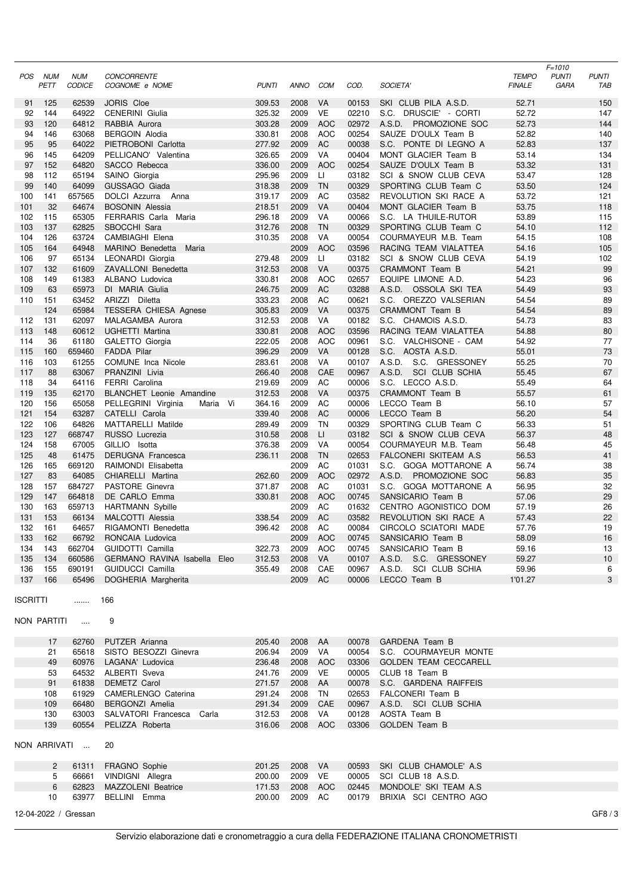|            |             |                      |                                          |                  |              |                  |                |                                            |                | $F = 1010$   |              |
|------------|-------------|----------------------|------------------------------------------|------------------|--------------|------------------|----------------|--------------------------------------------|----------------|--------------|--------------|
| POS        | NUM         | <b>NUM</b>           | <b>CONCORRENTE</b>                       |                  |              |                  |                |                                            | <b>TEMPO</b>   | <b>PUNTI</b> | <b>PUNTI</b> |
|            | PETT        | <b>CODICE</b>        | COGNOME e NOME                           | <b>PUNTI</b>     | ANNO         | COM              | COD.           | SOCIETA'                                   | <b>FINALE</b>  | <b>GARA</b>  | TAB          |
| 91         | 125         | 62539                | JORIS Cloe                               | 309.53           | 2008         | VA               | 00153          | SKI CLUB PILA A.S.D.                       | 52.71          |              | 150          |
| 92         | 144         | 64922                | <b>CENERINI</b> Giulia                   | 325.32           | 2009         | VE               | 02210          | S.C. DRUSCIE' - CORTI                      | 52.72          |              | 147          |
| 93         | 120         | 64812                | RABBIA Aurora                            | 303.28           | 2009         | <b>AOC</b>       | 02972          | A.S.D. PROMOZIONE SOC                      | 52.73          |              | 144          |
| 94         | 146         | 63068                | <b>BERGOIN Alodia</b>                    | 330.81           | 2008         | AOC              | 00254          | SAUZE D'OULX Team B                        | 52.82          |              | 140          |
| 95         | 95          | 64022                | PIETROBONI Carlotta                      | 277.92           | 2009         | AC               | 00038          | S.C. PONTE DI LEGNO A                      | 52.83          |              | 137          |
| 96         | 145         | 64209                | PELLICANO' Valentina                     | 326.65           | 2009         | VA               | 00404          | MONT GLACIER Team B                        | 53.14          |              | 134          |
| 97         | 152         | 64820                | SACCO Rebecca                            | 336.00           | 2009         | <b>AOC</b>       | 00254          | SAUZE D'OULX Team B                        | 53.32          |              | 131          |
| 98         | 112         | 65194                | SAINO Giorgia                            | 295.96           | 2009         | LI.              | 03182          | SCI & SNOW CLUB CEVA                       | 53.47          |              | 128          |
| 99         | 140         | 64099                | GUSSAGO Giada                            | 318.38           | 2009         | <b>TN</b>        | 00329          | SPORTING CLUB Team C                       | 53.50          |              | 124          |
| 100        | 141         | 657565               | DOLCI Azzurra Anna                       | 319.17           | 2009         | AC               | 03582          | REVOLUTION SKI RACE A                      | 53.72          |              | 121          |
| 101        | 32          | 64674                | <b>BOSONIN Alessia</b>                   | 218.51           | 2009         | <b>VA</b>        | 00404          | MONT GLACIER Team B                        | 53.75          |              | 118          |
| 102        | 115         | 65305                | FERRARIS Carla Maria                     | 296.18           | 2009         | VA               | 00066          | S.C. LA THUILE-RUTOR                       | 53.89          |              | 115          |
| 103        | 137         | 62825                | SBOCCHI Sara                             | 312.76           | 2008         | <b>TN</b>        | 00329          | SPORTING CLUB Team C                       | 54.10          |              | 112          |
| 104        | 126         | 63724                | CAMBIAGHI Elena                          | 310.35           | 2008         | VA               | 00054          | COURMAYEUR M.B. Team                       | 54.15          |              | 108          |
| 105        | 164         | 64948                | MARINO Benedetta<br>Maria                |                  | 2009         | <b>AOC</b>       | 03596          | RACING TEAM VIALATTEA                      | 54.16          |              | 105          |
| 106        | 97          | 65134                | LEONARDI Giorgia                         | 279.48           | 2009         | LI.              | 03182          | SCI & SNOW CLUB CEVA                       | 54.19          |              | 102          |
| 107        | 132         | 61609                | ZAVALLONI Benedetta                      | 312.53           | 2008         | VA               | 00375          | CRAMMONT Team B                            | 54.21          |              | 99           |
| 108        | 149         | 61383                | ALBANO Ludovica                          | 330.81           | 2008         | <b>AOC</b>       | 02657          | EQUIPE LIMONE A.D.                         | 54.23          |              | 96           |
| 109        | 63          | 65973                | DI MARIA Giulia                          | 246.75           | 2009         | <b>AC</b>        | 03288          | A.S.D. OSSOLA SKI TEA                      | 54.49          |              | 93           |
| 110        | 151         | 63452                | ARIZZI Diletta                           | 333.23           | 2008         | AC               | 00621          | S.C. OREZZO VALSERIAN                      | 54.54          |              | 89           |
|            | 124         | 65984                | <b>TESSERA CHIESA Agnese</b>             | 305.83           | 2009         | VA               | 00375          | CRAMMONT Team B                            | 54.54          |              | 89           |
| 112        | 131         | 62097                | MALAGAMBA Aurora                         | 312.53           | 2008         | VA               | 00182          | S.C. CHAMOIS A.S.D.                        | 54.73          |              | 83           |
| 113        | 148         | 60612                | UGHETTI Martina                          | 330.81           | 2008         | <b>AOC</b>       | 03596          | RACING TEAM VIALATTEA                      | 54.88          |              | 80           |
| 114        | 36<br>160   | 61180                | GALETTO Giorgia                          | 222.05<br>396.29 | 2008<br>2009 | <b>AOC</b><br>VA | 00961<br>00128 | S.C. VALCHISONE - CAM<br>S.C. AOSTA A.S.D. | 54.92<br>55.01 |              | 77<br>73     |
| 115<br>116 | 103         | 659460<br>61255      | <b>FADDA Pilar</b><br>COMUNE Inca Nicole | 283.61           | 2008         | VA               | 00107          | A.S.D. S.C. GRESSONEY                      | 55.25          |              | 70           |
| 117        | 88          | 63067                | PRANZINI Livia                           | 266.40           | 2008         | CAE              | 00967          | A.S.D. SCI CLUB SCHIA                      | 55.45          |              | 67           |
| 118        | 34          | 64116                | <b>FERRI</b> Carolina                    | 219.69           | 2009         | AC               | 00006          | S.C. LECCO A.S.D.                          | 55.49          |              | 64           |
| 119        | 135         | 62170                | <b>BLANCHET</b> Leonie Amandine          | 312.53           | 2008         | VA               | 00375          | CRAMMONT Team B                            | 55.57          |              | 61           |
| 120        | 156         | 65058                | PELLEGRINI Virginia<br>Maria Vi          | 364.16           | 2009         | AC               | 00006          | LECCO Team B                               | 56.10          |              | 57           |
| 121        | 154         | 63287                | CATELLI Carola                           | 339.40           | 2008         | <b>AC</b>        | 00006          | LECCO Team B                               | 56.20          |              | 54           |
| 122        | 106         | 64826                | <b>MATTARELLI Matilde</b>                | 289.49           | 2009         | TN               | 00329          | SPORTING CLUB Team C                       | 56.33          |              | 51           |
| 123        | 127         | 668747               | RUSSO Lucrezia                           | 310.58           | 2008         | LI.              | 03182          | SCI & SNOW CLUB CEVA                       | 56.37          |              | 48           |
| 124        | 158         | 67005                | GILLIO Isotta                            | 376.38           | 2009         | VA               | 00054          | COURMAYEUR M.B. Team                       | 56.48          |              | 45           |
| 125        | 48          | 61475                | DERUGNA Francesca                        | 236.11           | 2008         | <b>TN</b>        | 02653          | FALCONERI SKITEAM A.S.                     | 56.53          |              | 41           |
| 126        | 165         | 669120               | RAIMONDI Elisabetta                      |                  | 2009         | AC               | 01031          | S.C. GOGA MOTTARONE A                      | 56.74          |              | 38           |
| 127        | 83          | 64085                | CHIARELLI Martina                        | 262.60           | 2009         | <b>AOC</b>       | 02972          | A.S.D. PROMOZIONE SOC                      | 56.83          |              | 35           |
| 128        | 157         | 684727               | PASTORE Ginevra                          | 371.87           | 2008         | AC               | 01031          | S.C. GOGA MOTTARONE A                      | 56.95          |              | 32           |
| 129        | 147         | 664818               | DE CARLO Emma                            | 330.81           | 2008         | <b>AOC</b>       | 00745          | SANSICARIO Team B                          | 57.06          |              | 29           |
| 130        | 163         | 659713               | <b>HARTMANN Sybille</b>                  |                  | 2009         | AC               | 01632          | CENTRO AGONISTICO DOM                      | 57.19          |              | 26           |
| 131        | 153         | 66134                | MALCOTTI Alessia                         | 338.54           | 2009         | <b>AC</b>        | 03582          | REVOLUTION SKI RACE A                      | 57.43          |              | 22           |
| 132        | 161         | 64657                | RIGAMONTI Benedetta                      | 396.42           | 2008         | AC               | 00084          | CIRCOLO SCIATORI MADE                      | 57.76          |              | 19           |
|            | 133 162     |                      | 66792 RONCAIA Ludovica                   |                  | 2009 AOC     |                  |                | 00745 SANSICARIO Team B                    | 58.09          |              | 16           |
|            | 134 143     | 662704               | GUIDOTTI Camilla                         | 322.73           | 2009 AOC     |                  |                | 00745 SANSICARIO Team B                    | 59.16          |              | 13           |
| 135        | 134         | 660586               | GERMANO RAVINA Isabella Eleo             | 312.53           | 2008         | VA               | 00107          | A.S.D. S.C. GRESSONEY                      | 59.27          |              | 10           |
|            | 136 155     | 690191               | <b>GUIDUCCI Camilla</b>                  | 355.49           | 2008         | CAE              | 00967          | A.S.D. SCI CLUB SCHIA                      | 59.96          |              | 6            |
|            | 137 166     | 65496                | DOGHERIA Margherita                      |                  | 2009 AC      |                  | 00006          | LECCO Team B                               | 1'01.27        |              | 3            |
|            |             |                      |                                          |                  |              |                  |                |                                            |                |              |              |
| ISCRITTI   |             | <b></b>              | 166                                      |                  |              |                  |                |                                            |                |              |              |
|            |             |                      |                                          |                  |              |                  |                |                                            |                |              |              |
|            | NON PARTITI | $\sim$ $\sim$        | 9                                        |                  |              |                  |                |                                            |                |              |              |
|            |             | 62760                | PUTZER Arianna                           | 205.40           | 2008 AA      |                  | 00078          | GARDENA Team B                             |                |              |              |
|            | 17<br>21    | 65618                | SISTO BESOZZI Ginevra                    | 206.94           | 2009         | VA               | 00054          | S.C. COURMAYEUR MONTE                      |                |              |              |
|            | 49          | 60976                | LAGANA' Ludovica                         | 236.48           | 2008 AOC     |                  | 03306          | <b>GOLDEN TEAM CECCARELL</b>               |                |              |              |
|            | 53          | 64532                | ALBERTI Sveva                            | 241.76           | 2009 VE      |                  | 00005          | CLUB 18 Team B                             |                |              |              |
|            | 91          | 61838                | DEMETZ Carol                             | 271.57           | 2008 AA      |                  | 00078          | S.C. GARDENA RAIFFEIS                      |                |              |              |
|            | 108         | 61929                | CAMERLENGO Caterina                      | 291.24           | 2008         | TN               | 02653          | FALCONERI Team B                           |                |              |              |
|            | 109         | 66480                | <b>BERGONZI Amelia</b>                   | 291.34           | 2009 CAE     |                  | 00967          | A.S.D. SCI CLUB SCHIA                      |                |              |              |
|            | 130         | 63003                | SALVATORI Francesca Carla                | 312.53           | 2008         | VA               | 00128          | AOSTA Team B                               |                |              |              |
|            | 139         | 60554                | PELIZZA Roberta                          | 316.06           | 2008 AOC     |                  | 03306          | <b>GOLDEN Team B</b>                       |                |              |              |
|            |             |                      |                                          |                  |              |                  |                |                                            |                |              |              |
|            |             | NON ARRIVATI         | 20                                       |                  |              |                  |                |                                            |                |              |              |
|            |             |                      |                                          |                  |              |                  |                |                                            |                |              |              |
|            | 2           | 61311                | FRAGNO Sophie                            | 201.25           | 2008 VA      |                  | 00593          | SKI CLUB CHAMOLE' A.S.                     |                |              |              |
|            | 5           | 66661                | VINDIGNI Allegra                         | 200.00           | 2009 VE      |                  | 00005          | SCI CLUB 18 A.S.D.                         |                |              |              |
|            | 6           | 62823                | <b>MAZZOLENI Beatrice</b>                | 171.53           | 2008 AOC     |                  |                | 02445 MONDOLE' SKI TEAM A.S                |                |              |              |
|            | 10          | 63977                | BELLINI Emma                             | 200.00           | 2009 AC      |                  | 00179          | BRIXIA SCI CENTRO AGO                      |                |              |              |
|            |             | 12-04-2022 / Gressan |                                          |                  |              |                  |                |                                            |                |              | GF8/3        |
|            |             |                      |                                          |                  |              |                  |                |                                            |                |              |              |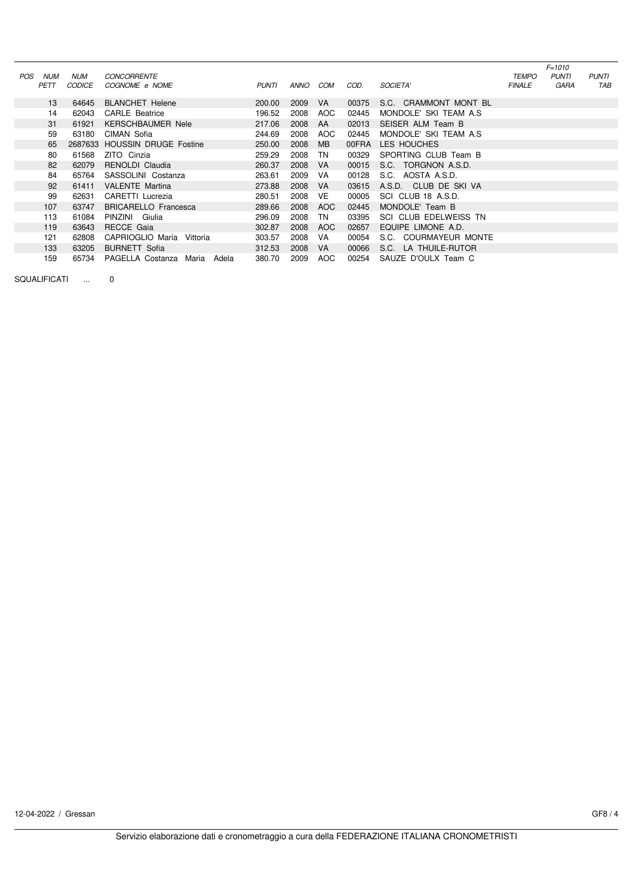|     |             |               |                                 |              |      |     |       |                        |               | $F = 1010$   |              |
|-----|-------------|---------------|---------------------------------|--------------|------|-----|-------|------------------------|---------------|--------------|--------------|
| POS | <b>NUM</b>  | <b>NUM</b>    | <b>CONCORRENTE</b>              |              |      |     |       |                        | <b>TEMPO</b>  | <b>PUNTI</b> | <b>PUNTI</b> |
|     | <b>PETT</b> | <b>CODICE</b> | COGNOME e NOME                  | <b>PUNTI</b> | ANNO | COM | COD.  | <b>SOCIETA'</b>        | <b>FINALE</b> | GARA         | TAB          |
|     | 13          | 64645         | <b>BLANCHET Helene</b>          | 200.00       | 2009 | VA. | 00375 | S.C. CRAMMONT MONT BL  |               |              |              |
|     | 14          | 62043         | <b>CARLE</b> Beatrice           | 196.52       | 2008 | AOC | 02445 | MONDOLE' SKI TEAM A.S. |               |              |              |
|     | 31          | 61921         | <b>KERSCHBAUMER Nele</b>        | 217.06       | 2008 | AA  | 02013 | SEISER ALM Team B      |               |              |              |
|     | 59          | 63180         | CIMAN Sofia                     | 244.69       | 2008 | AOC | 02445 | MONDOLE' SKI TEAM A.S. |               |              |              |
|     | 65          |               | 2687633 HOUSSIN DRUGE Fostine   | 250.00       | 2008 | MB. | 00FRA | LES HOUCHES            |               |              |              |
|     | 80          | 61568         | ZITO Cinzia                     | 259.29       | 2008 | TN  | 00329 | SPORTING CLUB Team B   |               |              |              |
|     | 82          | 62079         | RENOLDI Claudia                 | 260.37       | 2008 | VA. | 00015 | S.C. TORGNON A.S.D.    |               |              |              |
|     | 84          | 65764         | SASSOLINI Costanza              | 263.61       | 2009 | VA. | 00128 | S.C. AOSTA A.S.D.      |               |              |              |
|     | 92          | 61411         | <b>VALENTE Martina</b>          | 273.88       | 2008 | VA. | 03615 | A.S.D. CLUB DE SKI VA  |               |              |              |
|     | 99          | 62631         | CARETTI Lucrezia                | 280.51       | 2008 | VE  | 00005 | SCI CLUB 18 A.S.D.     |               |              |              |
|     | 107         | 63747         | <b>BRICARELLO Francesca</b>     | 289.66       | 2008 | AOC | 02445 | MONDOLE' Team B        |               |              |              |
|     | 113         | 61084         | PINZINI Giulia                  | 296.09       | 2008 | TN  | 03395 | SCI CLUB EDELWEISS TN  |               |              |              |
|     | 119         | 63643         | RECCE Gaia                      | 302.87       | 2008 | AOC | 02657 | EQUIPE LIMONE A.D.     |               |              |              |
|     | 121         | 62808         | CAPRIOGLIO Maria<br>Vittoria    | 303.57       | 2008 | VA. | 00054 | S.C. COURMAYEUR MONTE  |               |              |              |
|     | 133         | 63205         | <b>BURNETT</b> Sofia            | 312.53       | 2008 | VA. | 00066 | S.C. LA THUILE-RUTOR   |               |              |              |
|     | 159         | 65734         | PAGELLA Costanza Maria<br>Adela | 380.70       | 2009 | AOC | 00254 | SAUZE D'OULX Team C    |               |              |              |

SQUALIFICATI ... 0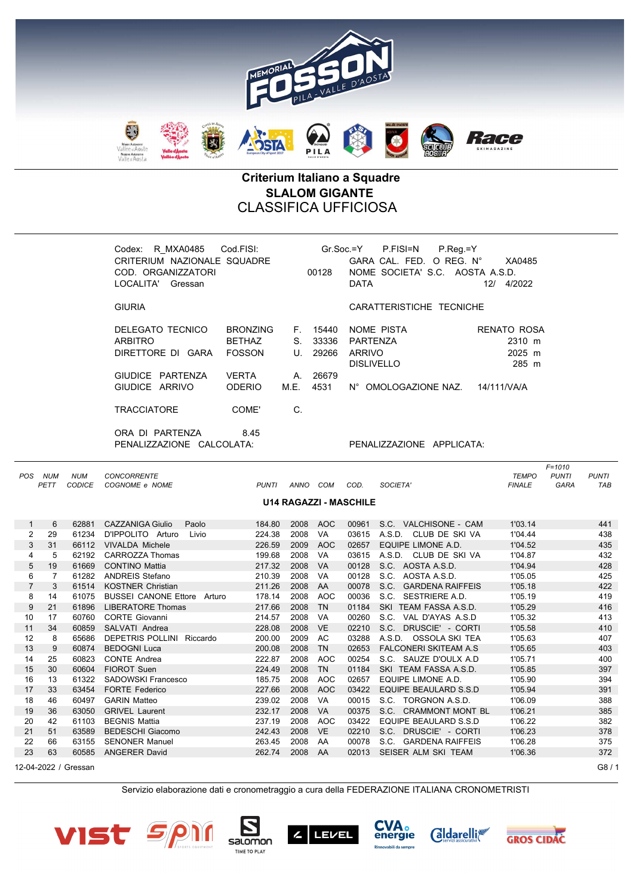

## Criterium Italiano a Squadre SLALOM GIGANTE CLASSIFICA UFFICIOSA

| R MXA0485 Cod.FISI:<br>Codex:<br>CRITERIUM NAZIONALE SQUADRE<br>COD. ORGANIZZATORI<br>LOCALITA' Gressan |                                                                                    |            | 00128                                             | $P_{\cdot}$ Reg = Y<br>Gr.Soc.=Y P.FISI=N<br>GARA CAL. FED. O REG. N°<br>NOME SOCIETA' S.C. AOSTA A.S.D.<br><b>DATA</b> | XA0485<br>12/<br>4/2022                                 |
|---------------------------------------------------------------------------------------------------------|------------------------------------------------------------------------------------|------------|---------------------------------------------------|-------------------------------------------------------------------------------------------------------------------------|---------------------------------------------------------|
| <b>GIURIA</b>                                                                                           |                                                                                    |            |                                                   | CARATTERISTICHE TECNICHE                                                                                                |                                                         |
| DELEGATO TECNICO<br><b>ARBITRO</b><br>DIRETTORE DI GARA<br>GIUDICE PARTENZA<br>GIUDICE ARRIVO           | <b>BRONZING</b><br><b>BETHAZ</b><br><b>FOSSON</b><br><b>VERTA</b><br><b>ODERIO</b> | A.<br>M.E. | F. 15440<br>S. 33336<br>U. 29266<br>26679<br>4531 | NOME PISTA<br>PARTENZA<br><b>ARRIVO</b><br><b>DISLIVELLO</b><br>N° OMOLOGAZIONE NAZ.                                    | RENATO ROSA<br>2310 m<br>2025 m<br>285 m<br>14/111/VA/A |
| <b>TRACCIATORE</b>                                                                                      | COME'                                                                              | C.         |                                                   |                                                                                                                         |                                                         |
| ORA DI PARTENZA<br>PENALIZZAZIONE CALCOLATA:                                                            | 8.45                                                                               |            |                                                   | PENALIZZAZIONE APPLICATA:                                                                                               |                                                         |

| <b>POS</b>     | <b>NUM</b> | <b>NUM</b>           | <b>CONCORRENTE</b>                 |              |      |            |                               |                                 | <b>TEMPO</b>  | $F = 1010$<br><b>PUNTI</b> | <b>PUNTI</b> |
|----------------|------------|----------------------|------------------------------------|--------------|------|------------|-------------------------------|---------------------------------|---------------|----------------------------|--------------|
|                | PETT       | <b>CODICE</b>        | COGNOME e NOME                     | <b>PUNTI</b> | ANNO | COM        | COD.                          | SOCIETA'                        | <b>FINALE</b> | <b>GARA</b>                | <b>TAB</b>   |
|                |            |                      |                                    |              |      |            |                               |                                 |               |                            |              |
|                |            |                      |                                    |              |      |            | <b>U14 RAGAZZI - MASCHILE</b> |                                 |               |                            |              |
|                |            |                      |                                    |              |      |            |                               |                                 |               |                            |              |
| 1              | 6          | 62881                | <b>CAZZANIGA Giulio</b><br>Paolo   | 184.80       | 2008 | <b>AOC</b> | 00961                         | S.C. VALCHISONE - CAM           | 1'03.14       |                            | 441          |
| $\overline{2}$ | 29         | 61234                | D'IPPOLITO Arturo<br>Livio         | 224.38       | 2008 | VA         | 03615                         | A.S.D. CLUB DE SKI VA           | 1'04.44       |                            | 438          |
| 3              | 31         | 66112                | <b>VIVALDA Michele</b>             | 226.59       | 2009 | <b>AOC</b> | 02657                         | EQUIPE LIMONE A.D.              | 1'04.52       |                            | 435          |
| 4              | 5          | 62192                | <b>CARROZZA Thomas</b>             | 199.68       | 2008 | VA         | 03615                         | A.S.D. CLUB DE SKI VA           | 1'04.87       |                            | 432          |
| 5              | 19         | 61669                | <b>CONTINO Mattia</b>              | 217.32       | 2008 | <b>VA</b>  | 00128                         | S.C. AOSTA A.S.D.               | 1'04.94       |                            | 428          |
| 6              | 7          | 61282                | <b>ANDREIS Stefano</b>             | 210.39       | 2008 | VA         | 00128                         | S.C. AOSTA A.S.D.               | 1'05.05       |                            | 425          |
| $\overline{7}$ | 3          | 61514                | <b>KOSTNER Christian</b>           | 211.26       | 2008 | AA         | 00078                         | S.C.<br><b>GARDENA RAIFFEIS</b> | 1'05.18       |                            | 422          |
| 8              | 14         | 61075                | <b>BUSSEI CANONE Ettore Arturo</b> | 178.14       | 2008 | <b>AOC</b> | 00036                         | S.C.<br>SESTRIERE A.D.          | 1'05.19       |                            | 419          |
| 9              | 21         | 61896                | <b>LIBERATORE Thomas</b>           | 217.66       | 2008 | <b>TN</b>  | 01184                         | SKI TEAM FASSA A.S.D.           | 1'05.29       |                            | 416          |
| 10             | 17         | 60760                | <b>CORTE Giovanni</b>              | 214.57       | 2008 | VA         | 00260                         | S.C.<br>VAL D'AYAS A.S.D        | 1'05.32       |                            | 413          |
| 11             | 34         | 60859                | SALVATI Andrea                     | 228.08       | 2008 | <b>VE</b>  | 02210                         | S.C. DRUSCIE' - CORTI           | 1'05.58       |                            | 410          |
| 12             | 8          | 65686                | DEPETRIS POLLINI Riccardo          | 200.00       | 2009 | <b>AC</b>  | 03288                         | A.S.D. OSSOLA SKI TEA           | 1'05.63       |                            | 407          |
| 13             | 9          | 60874                | <b>BEDOGNI Luca</b>                | 200.08       | 2008 | <b>TN</b>  | 02653                         | <b>FALCONERI SKITEAM A.S</b>    | 1'05.65       |                            | 403          |
| 14             | 25         | 60823                | <b>CONTE Andrea</b>                | 222.87       | 2008 | <b>AOC</b> | 00254                         | S.C. SAUZE D'OULX A.D           | 1'05.71       |                            | 400          |
| 15             | 30         | 60604                | <b>FIOROT Suen</b>                 | 224.49       | 2008 | <b>TN</b>  | 01184                         | SKI TEAM FASSA A.S.D.           | 1'05.85       |                            | 397          |
| 16             | 13         | 61322                | <b>SADOWSKI Francesco</b>          | 185.75       | 2008 | <b>AOC</b> | 02657                         | EQUIPE LIMONE A.D.              | 1'05.90       |                            | 394          |
| 17             | 33         | 63454                | <b>FORTE Federico</b>              | 227.66       | 2008 | <b>AOC</b> | 03422                         | EQUIPE BEAULARD S.S.D           | 1'05.94       |                            | 391          |
| 18             | 46         | 60497                | <b>GARIN Matteo</b>                | 239.02       | 2008 | VA         | 00015                         | S.C. TORGNON A.S.D.             | 1'06.09       |                            | 388          |
| 19             | 36         | 63050                | <b>GRIVEL Laurent</b>              | 232.17       | 2008 | <b>VA</b>  | 00375                         | S.C. CRAMMONT MONT BL           | 1'06.21       |                            | 385          |
| 20             | 42         | 61103                | <b>BEGNIS Mattia</b>               | 237.19       | 2008 | AOC        | 03422                         | <b>EQUIPE BEAULARD S.S.D</b>    | 1'06.22       |                            | 382          |
| 21             | 51         | 63589                | <b>BEDESCHI Giacomo</b>            | 242.43       | 2008 | <b>VE</b>  | 02210                         | S.C. DRUSCIE' - CORTI           | 1'06.23       |                            | 378          |
| 22             | 66         | 63155                | <b>SENONER Manuel</b>              | 263.45       | 2008 | AA         | 00078                         | S.C. GARDENA RAIFFEIS           | 1'06.28       |                            | 375          |
| 23             | 63         | 60585                | <b>ANGERER David</b>               | 262.74       | 2008 | AA         | 02013                         | SEISER ALM SKI TEAM             | 1'06.36       |                            | 372          |
|                |            | 12-04-2022 / Gressan |                                    |              |      |            |                               |                                 |               |                            | G8/1         |

Servizio elaborazione dati e cronometraggio a cura della FEDERAZIONE ITALIANA CRONOMETRISTI











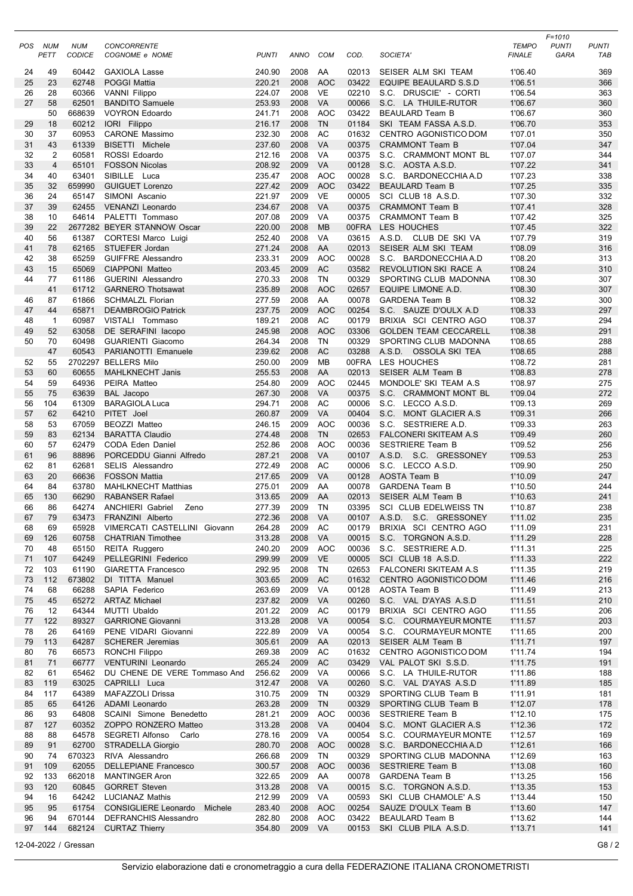| POS      | NUM<br>PETT    | <b>NUM</b><br>CODICE | <b>CONCORRENTE</b><br>COGNOME e NOME                                   | <b>PUNTI</b>     | ANNO         | <b>COM</b>               | COD.           | SOCIETA'                                       | <b>TEMPO</b><br><b>FINALE</b> | $F = 1010$<br><b>PUNTI</b><br>GARA | <b>PUNTI</b><br>TAB |
|----------|----------------|----------------------|------------------------------------------------------------------------|------------------|--------------|--------------------------|----------------|------------------------------------------------|-------------------------------|------------------------------------|---------------------|
| 24       | 49             | 60442                | <b>GAXIOLA Lasse</b>                                                   | 240.90           | 2008         | AA                       | 02013          | SEISER ALM SKI TEAM                            | 1'06.40                       |                                    | 369                 |
| 25       | 23             | 62748                | <b>POGGI Mattia</b>                                                    | 220.21           | 2008         | <b>AOC</b>               | 03422          | <b>EQUIPE BEAULARD S.S.D</b>                   | 1'06.51                       |                                    | 366                 |
| 26       | 28             | 60366                | <b>VANNI Filippo</b>                                                   | 224.07           | 2008         | <b>VE</b>                | 02210          | S.C. DRUSCIE' - CORTI<br>S.C. LA THUILE-RUTOR  | 1'06.54                       |                                    | 363                 |
| 27       | 58<br>50       | 62501<br>668639      | <b>BANDITO Samuele</b><br><b>VOYRON Edoardo</b>                        | 253.93<br>241.71 | 2008<br>2008 | <b>VA</b><br><b>AOC</b>  | 00066<br>03422 | <b>BEAULARD Team B</b>                         | 1'06.67<br>1'06.67            |                                    | 360<br>360          |
| 29       | 18             | 60212                | IORI Filippo                                                           | 216.17           | 2008         | <b>TN</b>                | 01184          | SKI TEAM FASSA A.S.D.                          | 1'06.70                       |                                    | 353                 |
| 30       | 37             | 60953                | <b>CARONE Massimo</b>                                                  | 232.30           | 2008         | AC                       | 01632          | CENTRO AGONISTICO DOM                          | 1'07.01                       |                                    | 350                 |
| 31       | 43             | 61339                | BISETTI Michele                                                        | 237.60           | 2008         | <b>VA</b>                | 00375          | <b>CRAMMONT Team B</b>                         | 1'07.04                       |                                    | 347                 |
| 32       | $\overline{2}$ | 60581                | ROSSI Edoardo                                                          | 212.16           | 2008         | VA                       | 00375          | S.C. CRAMMONT MONT BL                          | 1'07.07                       |                                    | 344                 |
| 33       | $\overline{4}$ | 65101                | <b>FOSSON Nicolas</b>                                                  | 208.92           | 2009         | <b>VA</b>                | 00128          | S.C. AOSTA A.S.D.                              | 1'07.22                       |                                    | 341                 |
| 34       | 40             | 63401                | SIBILLE Luca                                                           | 235.47           | 2008         | <b>AOC</b>               | 00028          | S.C. BARDONECCHIA A.D                          | 1'07.23                       |                                    | 338                 |
| 35       | 32             | 659990               | <b>GUIGUET Lorenzo</b>                                                 | 227.42           | 2009         | <b>AOC</b>               | 03422          | <b>BEAULARD Team B</b>                         | 1'07.25                       |                                    | 335                 |
| 36       | 24             | 65147                | SIMONI Ascanio                                                         | 221.97           | 2009         | <b>VE</b>                | 00005          | SCI CLUB 18 A.S.D.                             | 1'07.30                       |                                    | 332                 |
| 37       | 39             | 62455                | <b>VENANZI Leonardo</b>                                                | 234.67           | 2008         | <b>VA</b>                | 00375          | <b>CRAMMONT Team B</b>                         | 1'07.41                       |                                    | 328                 |
| 38       | 10             | 64614                | PALETTI Tommaso                                                        | 207.08           | 2009         | <b>VA</b>                | 00375          | <b>CRAMMONT Team B</b>                         | 1'07.42                       |                                    | 325                 |
| 39       | 22             |                      | 2677282 BEYER STANNOW Oscar                                            | 220.00           | 2008         | <b>MB</b>                | 00FRA          | LES HOUCHES                                    | 1'07.45                       |                                    | 322                 |
| 40       | 56             | 61387                | <b>CORTESI Marco Luigi</b>                                             | 252.40           | 2008         | VA                       | 03615          | A.S.D. CLUB DE SKI VA                          | 1'07.79                       |                                    | 319                 |
| 41       | 78             | 62165                | STUEFER Jordan                                                         | 271.24           | 2008         | AA                       | 02013          | SEISER ALM SKI TEAM                            | 1'08.09                       |                                    | 316                 |
| 42       | 38             | 65259                | <b>GUIFFRE Alessandro</b>                                              | 233.31           | 2009         | <b>AOC</b>               | 00028          | S.C. BARDONECCHIA A.D                          | 1'08.20                       |                                    | 313                 |
| 43       | 15             | 65069                | CIAPPONI Matteo                                                        | 203.45           | 2009         | <b>AC</b>                | 03582          | REVOLUTION SKI RACE A                          | 1'08.24                       |                                    | 310                 |
| 44       | 77             | 61186                | <b>GUERINI Alessandro</b>                                              | 270.33           | 2008         | <b>TN</b>                | 00329          | SPORTING CLUB MADONNA                          | 1'08.30                       |                                    | 307                 |
|          | 41             | 61712                | <b>GARNERO Thotsawat</b>                                               | 235.89           | 2008         | <b>AOC</b>               | 02657          | EQUIPE LIMONE A.D.                             | 1'08.30                       |                                    | 307                 |
| 46       | 87             | 61866                | <b>SCHMALZL Florian</b>                                                | 277.59           | 2008         | AA                       | 00078          | <b>GARDENA Team B</b>                          | 1'08.32                       |                                    | 300                 |
| 47       | 44             | 65871                | <b>DEAMBROGIO Patrick</b>                                              | 237.75           | 2009         | <b>AOC</b>               | 00254          | S.C. SAUZE D'OULX A.D                          | 1'08.33                       |                                    | 297                 |
| 48       | $\overline{1}$ | 60987                | VISTALI Tommaso                                                        | 189.21           | 2008         | AC                       | 00179          | BRIXIA SCI CENTRO AGO                          | 1'08.37                       |                                    | 294                 |
| 49       | 52             | 63058                | DE SERAFINI Iacopo                                                     | 245.98           | 2008         | <b>AOC</b>               | 03306          | <b>GOLDEN TEAM CECCARELL</b>                   | 1'08.38                       |                                    | 291                 |
| 50       | 70<br>47       | 60498<br>60543       | <b>GUARIENTI Giacomo</b><br>PARIANOTTI Emanuele                        | 264.34<br>239.62 | 2008<br>2008 | TN<br>AC                 | 00329<br>03288 | SPORTING CLUB MADONNA<br>A.S.D. OSSOLA SKI TEA | 1'08.65<br>1'08.65            |                                    | 288<br>288          |
| 52       | 55             |                      | 2702297 BELLERS Milo                                                   | 250.00           | 2009         | <b>MB</b>                |                | 00FRA LES HOUCHES                              | 1'08.72                       |                                    | 281                 |
| 53       | 60             | 60655                | <b>MAHLKNECHT Janis</b>                                                | 255.53           | 2008         | AA                       | 02013          | SEISER ALM Team B                              | 1'08.83                       |                                    | 278                 |
| 54       | 59             | 64936                | PEIRA Matteo                                                           | 254.80           | 2009         | <b>AOC</b>               | 02445          | MONDOLE' SKI TEAM A.S                          | 1'08.97                       |                                    | 275                 |
| 55       | 75             | 63639                | BAL Jacopo                                                             | 267.30           | 2008         | <b>VA</b>                | 00375          | S.C. CRAMMONT MONT BL                          | 1'09.04                       |                                    | 272                 |
| 56       | 104            | 61309                | <b>BARAGIOLA Luca</b>                                                  | 294.71           | 2008         | AC                       | 00006          | S.C. LECCO A.S.D.                              | 1'09.13                       |                                    | 269                 |
| 57       | 62             | 64210                | PITET Joel                                                             | 260.87           | 2009         | VA                       | 00404          | S.C. MONT GLACIER A.S.                         | 1'09.31                       |                                    | 266                 |
| 58       | 53             | 67059                | BEOZZI Matteo                                                          | 246.15           | 2009         | <b>AOC</b>               | 00036          | S.C. SESTRIERE A.D.                            | 1'09.33                       |                                    | 263                 |
| 59       | 83             | 62134                | <b>BARATTA Claudio</b>                                                 | 274.48           | 2008         | <b>TN</b>                | 02653          | <b>FALCONERI SKITEAM A.S</b>                   | 1'09.49                       |                                    | 260                 |
| 60       | 57             | 62479                | CODA Eden Daniel                                                       | 252.86           | 2008         | <b>AOC</b>               | 00036          | <b>SESTRIERE Team B</b>                        | 1'09.52                       |                                    | 256                 |
| 61       | 96             | 88896                | PORCEDDU Gianni Alfredo                                                | 287.21           | 2008         | VA                       | 00107          | A.S.D. S.C. GRESSONEY                          | 1'09.53                       |                                    | 253                 |
| 62       | 81             | 62681                | SELIS Alessandro                                                       | 272.49           | 2008         | AC                       | 00006          | S.C. LECCO A.S.D.                              | 1'09.90                       |                                    | 250                 |
| 63       | 20             | 66636                | <b>FOSSON Mattia</b>                                                   | 217.65           | 2009         | VA                       | 00128          | AOSTA Team B                                   | 1'10.09                       |                                    | 247                 |
| 64       | 84             | 63780                | <b>MAHLKNECHT Matthias</b>                                             | 275.01           | 2009         | AA                       | 00078          | <b>GARDENA Team B</b>                          | 1'10.50                       |                                    | 244                 |
| 65       | 130            | 66290                | <b>RABANSER Rafael</b>                                                 | 313.65           | 2009         | AA                       | 02013          | SEISER ALM Team B                              | 1'10.63                       |                                    | 241                 |
| 66       | 86             | 64274                | <b>ANCHIERI Gabriel</b><br>Zeno                                        | 277.39           | 2009         | <b>TN</b>                | 03395          | SCI CLUB EDELWEISS TN                          | 1'10.87                       |                                    | 238                 |
| 67       | 79             | 63473                | FRANZINI Alberto                                                       | 272.36           | 2008         | VA                       | 00107          | A.S.D. S.C. GRESSONEY                          | 1'11.02                       |                                    | 235                 |
| 68       | 69             | 65928                | VIMERCATI CASTELLINI Giovann                                           | 264.28           | 2009         | AC                       | 00179          | BRIXIA SCI CENTRO AGO                          | 1'11.09                       |                                    | 231                 |
| 69       | 126            | 60758                | <b>CHATRIAN Timothee</b>                                               | 313.28           | 2008         | VA                       | 00015          | S.C. TORGNON A.S.D.                            | 1'11.29                       |                                    | 228                 |
| 70       | 48<br>107      | 65150                | REITA Ruggero<br>PELLEGRINI Federico                                   | 240.20           | 2009         | <b>AOC</b><br><b>VE</b>  | 00036          | S.C. SESTRIERE A.D.                            | 1'11.31                       |                                    | 225<br>222          |
| 71<br>72 | 103            | 64249<br>61190       | <b>GIARETTA Francesco</b>                                              | 299.99<br>292.95 | 2009<br>2008 | TN                       | 00005<br>02653 | SCI CLUB 18 A.S.D.<br>FALCONERI SKITEAM A.S    | 1'11.33<br>1'11.35            |                                    |                     |
| 73       | 112            | 673802               | DI TITTA Manuel                                                        | 303.65           | 2009         | <b>AC</b>                | 01632          | CENTRO AGONISTICO DOM                          | 1'11.46                       |                                    | 219<br>216          |
| 74       | 68             | 66288                | SAPIA Federico                                                         | 263.69           | 2009         | VA                       | 00128          | AOSTA Team B                                   | 1'11.49                       |                                    | 213                 |
| 75       | 45             | 65272                | <b>ARTAZ Michael</b>                                                   | 237.82           | 2009         | VA                       | 00260          | S.C. VAL D'AYAS A.S.D                          | 1'11.51                       |                                    | 210                 |
| 76       | 12             | 64344                | MUTTI Ubaldo                                                           | 201.22           | 2009         | AC                       | 00179          | BRIXIA SCI CENTRO AGO                          | 1'11.55                       |                                    | 206                 |
| 77       | 122            | 89327                | <b>GARRIONE Giovanni</b>                                               | 313.28           | 2008         | VA                       | 00054          | S.C. COURMAYEUR MONTE                          | 1'11.57                       |                                    | 203                 |
| 78       | 26             | 64169                | PENE VIDARI Giovanni                                                   | 222.89           | 2009         | VA                       | 00054          | S.C. COURMAYEUR MONTE                          | 1'11.65                       |                                    | 200                 |
| 79       | 113            | 64287                | <b>SCHERER Jeremias</b>                                                | 305.61           | 2009         | AA                       | 02013          | SEISER ALM Team B                              | 1'11.71                       |                                    | 197                 |
| 80       | 76             | 66573                | RONCHI Filippo                                                         | 269.38           | 2009         | AC                       | 01632          | CENTRO AGONISTICO DOM                          | 1'11.74                       |                                    | 194                 |
| 81       | 71             | 66777                | VENTURINI Leonardo                                                     | 265.24           | 2009         | <b>AC</b>                | 03429          | VAL PALOT SKI S.S.D.                           | 1'11.75                       |                                    | 191                 |
| 82       | 61             | 65462                | DU CHENE DE VERE Tommaso And                                           | 256.62           | 2009         | VA                       | 00066          | S.C. LA THUILE-RUTOR                           | 1'11.86                       |                                    | 188                 |
| 83       | 119            | 63025                | CAPRILLI Luca                                                          | 312.47           | 2008         | VA                       | 00260          | S.C. VAL D'AYAS A.S.D                          | 1'11.89                       |                                    | 185                 |
| 84       | 117            | 64389                | MAFAZZOLI Drissa                                                       | 310.75           | 2009         | TN                       | 00329          | SPORTING CLUB Team B                           | 1'11.91                       |                                    | 181                 |
| 85       | 65             | 64126                | ADAMI Leonardo                                                         | 263.28           | 2009         | TN                       | 00329          | SPORTING CLUB Team B                           | 1'12.07                       |                                    | 178                 |
| 86       | 93             | 64808                | SCAINI Simone Benedetto                                                | 281.21           | 2009         | <b>AOC</b>               | 00036          | <b>SESTRIERE Team B</b>                        | 1'12.10                       |                                    | 175                 |
| 87       | 127            | 60352                | ZOPPO RONZERO Matteo                                                   | 313.28           | 2008         | VA                       | 00404          | S.C. MONT GLACIER A.S                          | 1'12.36                       |                                    | 172                 |
| 88       | 88             | 64578                | SEGRETI Alfonso<br>Carlo                                               | 278.16           | 2009         | VA                       | 00054          | S.C. COURMAYEUR MONTE                          | 1'12.57                       |                                    | 169                 |
| 89       | 91             | 62700                | <b>STRADELLA Giorgio</b>                                               | 280.70           | 2008         | <b>AOC</b>               | 00028          | S.C. BARDONECCHIA A.D                          | 1'12.61                       |                                    | 166                 |
| 90       | 74             | 670323               | RIVA Alessandro                                                        | 266.68           | 2009         | TN                       | 00329          | SPORTING CLUB MADONNA                          | 1'12.69                       |                                    | 163                 |
| 91       | 109            | 62055                | <b>DELLEPIANE Francesco</b>                                            | 300.57           | 2008         | <b>AOC</b>               | 00036          | <b>SESTRIERE Team B</b>                        | 1'13.08                       |                                    | 160                 |
| 92       | 133            | 662018               | <b>MANTINGER Aron</b>                                                  | 322.65           | 2009         | AA                       | 00078          | <b>GARDENA Team B</b>                          | 1'13.25                       |                                    | 156                 |
| 93       | 120            | 60845                | <b>GORRET Steven</b>                                                   | 313.28           | 2008         | VA                       | 00015          | S.C. TORGNON A.S.D.                            | 1'13.35                       |                                    | 153                 |
| 94       | 16             | 64242                | <b>LUCIANAZ Mathis</b>                                                 | 212.99           | 2009         | VA                       | 00593          | SKI CLUB CHAMOLE' A.S.                         | 1'13.44                       |                                    | 150                 |
| 95<br>96 | 95<br>94       | 61754<br>670144      | Michele<br><b>CONSIGLIERE Leonardo</b><br><b>DEFRANCHIS Alessandro</b> | 283.40<br>282.80 | 2008<br>2008 | <b>AOC</b><br><b>AOC</b> | 00254<br>03422 | SAUZE D'OULX Team B                            | 1'13.60                       |                                    | 147<br>144          |
| 97       | 144            | 682124               | <b>CURTAZ Thierry</b>                                                  | 354.80           | 2009 VA      |                          | 00153          | <b>BEAULARD Team B</b><br>SKI CLUB PILA A.S.D. | 1'13.62<br>1'13.71            |                                    | 141                 |
|          |                |                      |                                                                        |                  |              |                          |                |                                                |                               |                                    |                     |
|          |                | 12-04-2022 / Gressan |                                                                        |                  |              |                          |                |                                                |                               |                                    | G8/2                |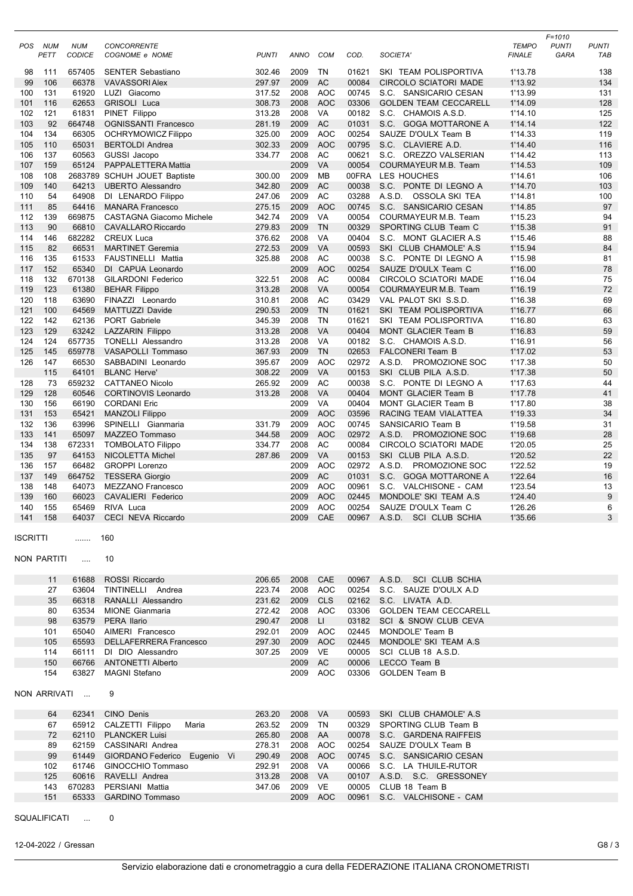|                 |              |                             |                                                     |                  |                 |                        |                |                                                           |                               | $F = 1010$           |                     |
|-----------------|--------------|-----------------------------|-----------------------------------------------------|------------------|-----------------|------------------------|----------------|-----------------------------------------------------------|-------------------------------|----------------------|---------------------|
| <b>POS</b>      | NUM<br>PETT  | <b>NUM</b><br>CODICE        | <b>CONCORRENTE</b><br>COGNOME e NOME                | <b>PUNTI</b>     | <b>ANNO</b>     | COM                    | COD.           | SOCIETA'                                                  | <b>TEMPO</b><br><b>FINALE</b> | <b>PUNTI</b><br>GARA | <b>PUNTI</b><br>TAB |
|                 |              |                             |                                                     |                  |                 |                        |                |                                                           |                               |                      |                     |
| 98              | 111          | 657405                      | <b>SENTER Sebastiano</b>                            | 302.46           | 2009            | TN                     | 01621          | SKI TEAM POLISPORTIVA                                     | 1'13.78                       |                      | 138                 |
| 99              | 106          | 66378                       | <b>VAVASSORIAlex</b>                                | 297.97           | 2009            | AC                     | 00084          | <b>CIRCOLO SCIATORI MADE</b>                              | 1'13.92                       |                      | 134                 |
| 100             | 131          | 61920                       | LUZI Giacomo                                        | 317.52           | 2008            | <b>AOC</b>             | 00745          | S.C. SANSICARIO CESAN                                     | 1'13.99                       |                      | 131                 |
| 101<br>102      | 116<br>121   | 62653<br>61831              | <b>GRISOLI Luca</b>                                 | 308.73<br>313.28 | 2008<br>2008    | <b>AOC</b><br>VA       | 03306<br>00182 | <b>GOLDEN TEAM CECCARELL</b><br>S.C. CHAMOIS A.S.D.       | 1'14.09<br>1'14.10            |                      | 128<br>125          |
| 103             | 92           | 664748                      | PINET Filippo<br>OGNISSANTI Francesco               | 281.19           | 2009            | AC                     | 01031          | S.C. GOGA MOTTARONE A                                     | 1'14.14                       |                      | 122                 |
| 104             | 134          | 66305                       | <b>OCHRYMOWICZ Filippo</b>                          | 325.00           | 2009            | <b>AOC</b>             | 00254          | SAUZE D'OULX Team B                                       | 1'14.33                       |                      | 119                 |
| 105             | 110          | 65031                       | <b>BERTOLDI Andrea</b>                              | 302.33           | 2009            | <b>AOC</b>             | 00795          | S.C. CLAVIERE A.D.                                        | 1'14.40                       |                      | 116                 |
| 106             | 137          | 60563                       | GUSSI Jacopo                                        | 334.77           | 2008            | AC                     | 00621          | S.C. OREZZO VALSERIAN                                     | 1'14.42                       |                      | 113                 |
| 107             | 159          | 65124                       | PAPPALETTERA Mattia                                 |                  | 2009            | <b>VA</b>              | 00054          | COURMAYEUR M.B. Team                                      | 1'14.53                       |                      | 109                 |
| 108             | 108          |                             | 2683789 SCHUH JOUET Baptiste                        | 300.00           | 2009            | <b>MB</b>              | 00FRA          | LES HOUCHES                                               | 1'14.61                       |                      | 106                 |
| 109             | 140          | 64213                       | <b>UBERTO Alessandro</b>                            | 342.80           | 2009            | AC                     | 00038          | S.C. PONTE DI LEGNO A                                     | 1'14.70                       |                      | 103                 |
| 110<br>111      | 54<br>85     | 64908<br>64416              | DI LENARDO Filippo                                  | 247.06<br>275.15 | 2009<br>2009    | AC<br><b>AOC</b>       | 03288<br>00745 | A.S.D. OSSOLA SKI TEA<br>S.C. SANSICARIO CESAN            | 1'14.81<br>1'14.85            |                      | 100<br>97           |
| 112             | 139          | 669875                      | <b>MANARA Francesco</b><br>CASTAGNA Giacomo Michele | 342.74           | 2009            | VA                     | 00054          | COURMAYEUR M.B. Team                                      | 1'15.23                       |                      | 94                  |
| 113             | 90           | 66810                       | <b>CAVALLARO Riccardo</b>                           | 279.83           | 2009            | <b>TN</b>              | 00329          | SPORTING CLUB Team C                                      | 1'15.38                       |                      | 91                  |
| 114             | 146          | 682282                      | <b>CREUX Luca</b>                                   | 376.62           | 2008            | <b>VA</b>              | 00404          | S.C. MONT GLACIER A.S.                                    | 1'15.46                       |                      | 88                  |
| 115             | 82           | 66531                       | <b>MARTINET Geremia</b>                             | 272.53           | 2009            | VA                     | 00593          | SKI CLUB CHAMOLE' A.S.                                    | 1'15.94                       |                      | 84                  |
| 116             | 135          | 61533                       | <b>FAUSTINELLI Mattia</b>                           | 325.88           | 2008            | AC                     | 00038          | S.C. PONTE DI LEGNO A                                     | 1'15.98                       |                      | 81                  |
| 117             | 152          | 65340                       | DI CAPUA Leonardo                                   |                  | 2009            | <b>AOC</b>             | 00254          | SAUZE D'OULX Team C                                       | 1'16.00                       |                      | 78                  |
| 118             | 132          | 670138                      | <b>GILARDONI Federico</b>                           | 322.51           | 2008            | AC                     | 00084          | CIRCOLO SCIATORI MADE                                     | 1'16.04                       |                      | 75                  |
| 119             | 123          | 61380                       | <b>BEHAR Filippo</b>                                | 313.28           | 2008            | <b>VA</b>              | 00054          | COURMAYEUR M.B. Team                                      | 1'16.19                       |                      | 72                  |
| 120             | 118          | 63690                       | FINAZZI Leonardo                                    | 310.81           | 2008            | AC                     | 03429          | VAL PALOT SKI S.S.D.                                      | 1'16.38                       |                      | 69                  |
| 121<br>122      | 100<br>142   | 64569<br>62136              | <b>MATTUZZI Davide</b><br><b>PORT Gabriele</b>      | 290.53<br>345.39 | 2009<br>2008    | <b>TN</b><br><b>TN</b> | 01621<br>01621 | SKI TEAM POLISPORTIVA<br>SKI TEAM POLISPORTIVA            | 1'16.77<br>1'16.80            |                      | 66<br>63            |
| 123             | 129          | 63242                       | LAZZARIN Filippo                                    | 313.28           | 2008            | VA                     | 00404          | MONT GLACIER Team B                                       | 1'16.83                       |                      | 59                  |
| 124             | 124          | 657735                      | <b>TONELLI Alessandro</b>                           | 313.28           | 2008            | <b>VA</b>              | 00182          | S.C. CHAMOIS A.S.D.                                       | 1'16.91                       |                      | 56                  |
| 125             | 145          | 659778                      | VASAPOLLI Tommaso                                   | 367.93           | 2009            | <b>TN</b>              | 02653          | <b>FALCONERI Team B</b>                                   | 1'17.02                       |                      | 53                  |
| 126             | 147          | 66530                       | SABBADINI Leonardo                                  | 395.67           | 2009            | <b>AOC</b>             | 02972          | A.S.D. PROMOZIONE SOC                                     | 1'17.38                       |                      | 50                  |
|                 | 115          | 64101                       | <b>BLANC Herve'</b>                                 | 308.22           | 2009            | <b>VA</b>              | 00153          | SKI CLUB PILA A.S.D.                                      | 1'17.38                       |                      | 50                  |
| 128             | 73           | 659232                      | <b>CATTANEO Nicolo</b>                              | 265.92           | 2009            | AC                     | 00038          | S.C. PONTE DI LEGNO A                                     | 1'17.63                       |                      | 44                  |
| 129             | 128          | 60546                       | <b>CORTINOVIS Leonardo</b>                          | 313.28           | 2008            | <b>VA</b>              | 00404          | MONT GLACIER Team B                                       | 1'17.78                       |                      | 41                  |
| 130             | 156          | 66190                       | <b>CORDANI Eric</b>                                 |                  | 2009            | VA                     | 00404          | MONT GLACIER Team B                                       | 1'17.80                       |                      | 38                  |
| 131             | 153          | 65421                       | <b>MANZOLI Filippo</b>                              |                  | 2009            | <b>AOC</b>             | 03596          | RACING TEAM VIALATTEA                                     | 1'19.33                       |                      | 34                  |
| 132             | 136          | 63996                       | SPINELLI Gianmaria                                  | 331.79           | 2009            | <b>AOC</b>             | 00745          | SANSICARIO Team B                                         | 1'19.58                       |                      | 31                  |
| 133<br>134      | 141<br>138   | 65097<br>672331             | MAZZEO Tommaso                                      | 344.58<br>334.77 | 2009<br>2008    | <b>AOC</b><br>AC       | 02972<br>00084 | A.S.D. PROMOZIONE SOC<br>CIRCOLO SCIATORI MADE            | 1'19.68                       |                      | 28<br>25            |
| 135             | 97           | 64153                       | <b>TOMBOLATO Filippo</b><br><b>NICOLETTA Michel</b> | 287.86           | 2009            | <b>VA</b>              | 00153          | SKI CLUB PILA A.S.D.                                      | 1'20.05<br>1'20.52            |                      | 22                  |
| 136             | 157          | 66482                       | <b>GROPPI Lorenzo</b>                               |                  | 2009            | <b>AOC</b>             | 02972          | A.S.D.<br>PROMOZIONE SOC                                  | 1'22.52                       |                      | 19                  |
| 137             | 149          | 664752                      | <b>TESSERA Giorgio</b>                              |                  | 2009            | AC                     | 01031          | S.C. GOGA MOTTARONE A                                     | 1'22.64                       |                      | 16                  |
| 138             | 148          | 64073                       | <b>MEZZANO Francesco</b>                            |                  | 2009            | <b>AOC</b>             | 00961          | S.C. VALCHISONE - CAM                                     | 1'23.54                       |                      | 13                  |
| 139             | 160          | 66023                       | CAVALIERI Federico                                  |                  | 2009            | <b>AOC</b>             | 02445          | MONDOLE' SKI TEAM A.S                                     | 1'24.40                       |                      | $9\,$               |
|                 | 140 155      | 65469                       | RIVA Luca                                           |                  |                 | 2009 AOC               | 00254          | SAUZE D'OULX Team C                                       | 1'26.26                       |                      | 6                   |
|                 | 141 158      |                             | 64037 CECI NEVA Riccardo                            |                  |                 | 2009 CAE               |                | 00967 A.S.D. SCI CLUB SCHIA                               | 1'35.66                       |                      | 3                   |
|                 |              |                             |                                                     |                  |                 |                        |                |                                                           |                               |                      |                     |
| <b>ISCRITTI</b> |              | .                           | 160                                                 |                  |                 |                        |                |                                                           |                               |                      |                     |
|                 | NON PARTITI  | $\sim$ $\sim$ $\sim$ $\sim$ | 10                                                  |                  |                 |                        |                |                                                           |                               |                      |                     |
|                 |              |                             |                                                     |                  |                 |                        |                |                                                           |                               |                      |                     |
|                 | 11           |                             | 61688 ROSSI Riccardo                                | 206.65           |                 | 2008 CAE               |                | 00967 A.S.D. SCI CLUB SCHIA                               |                               |                      |                     |
|                 | 27           |                             | 63604 TINTINELLI Andrea                             | 223.74           | 2008            | AOC                    |                | 00254 S.C. SAUZE D'OULX A.D                               |                               |                      |                     |
|                 | 35           |                             | 66318 RANALLI Alessandro                            | 231.62           | 2009            | <b>CLS</b>             |                | 02162 S.C. LIVATA A.D.                                    |                               |                      |                     |
|                 | 80           |                             | 63534 MIONE Gianmaria                               | 272.42 2008      |                 | AOC                    |                | 03306 GOLDEN TEAM CECCARELL                               |                               |                      |                     |
|                 | 98           |                             | 63579 PERA Ilario                                   | 290.47           | 2008            | LI                     |                | 03182 SCI & SNOW CLUB CEVA                                |                               |                      |                     |
|                 | 101          |                             | 65040 AIMERI Francesco                              | 292.01           | 2009 AOC        |                        |                | 02445 MONDOLE' Team B                                     |                               |                      |                     |
|                 | 105          |                             | 65593 DELLAFERRERA Francesco                        | 297.30           | 2009            | AOC                    |                | 02445 MONDOLE' SKI TEAM A.S                               |                               |                      |                     |
|                 | 114<br>150   |                             | 66111 DI DIO Alessandro<br>66766 ANTONETTI Alberto  | 307.25 2009 VE   | 2009 AC         |                        |                | 00005 SCI CLUB 18 A.S.D.<br>00006 LECCO Team B            |                               |                      |                     |
|                 | 154          |                             | 63827 MAGNI Stefano                                 |                  |                 | 2009 AOC               |                | 03306 GOLDEN Team B                                       |                               |                      |                     |
|                 |              |                             |                                                     |                  |                 |                        |                |                                                           |                               |                      |                     |
|                 |              | NON ARRIVATI                | 9                                                   |                  |                 |                        |                |                                                           |                               |                      |                     |
|                 |              |                             |                                                     |                  |                 |                        |                |                                                           |                               |                      |                     |
|                 | 64           |                             | 62341 CINO Denis                                    | 263.20 2008 VA   |                 |                        |                | 00593 SKI CLUB CHAMOLE' A.S                               |                               |                      |                     |
|                 | 67           |                             | 65912 CALZETTI Filippo Maria                        | 263.52           | 2009 TN         |                        |                | 00329 SPORTING CLUB Team B                                |                               |                      |                     |
|                 | 72           |                             | 62110 PLANCKER Luisi                                | 265.80           | 2008            | AA                     |                | 00078 S.C. GARDENA RAIFFEIS                               |                               |                      |                     |
|                 | 89           |                             | 62159 CASSINARI Andrea                              | 278.31           | 2008 AOC        |                        |                | 00254 SAUZE D'OULX Team B                                 |                               |                      |                     |
|                 | 99           |                             | 61449 GIORDANO Federico Eugenio Vi                  | 290.49           |                 | 2008 AOC               |                | 00745 S.C. SANSICARIO CESAN                               |                               |                      |                     |
|                 | 102<br>125   |                             | 61746 GINOCCHIO Tommaso                             | 292.91<br>313.28 | 2008            | VA                     |                | 00066 S.C. LA THUILE-RUTOR<br>00107 A.S.D. S.C. GRESSONEY |                               |                      |                     |
|                 | 143          |                             | 60616 RAVELLI Andrea<br>670283 PERSIANI Mattia      | 347.06           | 2008 VA<br>2009 | VE                     |                | 00005 CLUB 18 Team B                                      |                               |                      |                     |
|                 | 151          |                             | 65333 GARDINO Tommaso                               |                  |                 | 2009 AOC               |                | 00961 S.C. VALCHISONE - CAM                               |                               |                      |                     |
|                 |              |                             |                                                     |                  |                 |                        |                |                                                           |                               |                      |                     |
|                 | SQUALIFICATI | $\sim 100$                  | 0                                                   |                  |                 |                        |                |                                                           |                               |                      |                     |